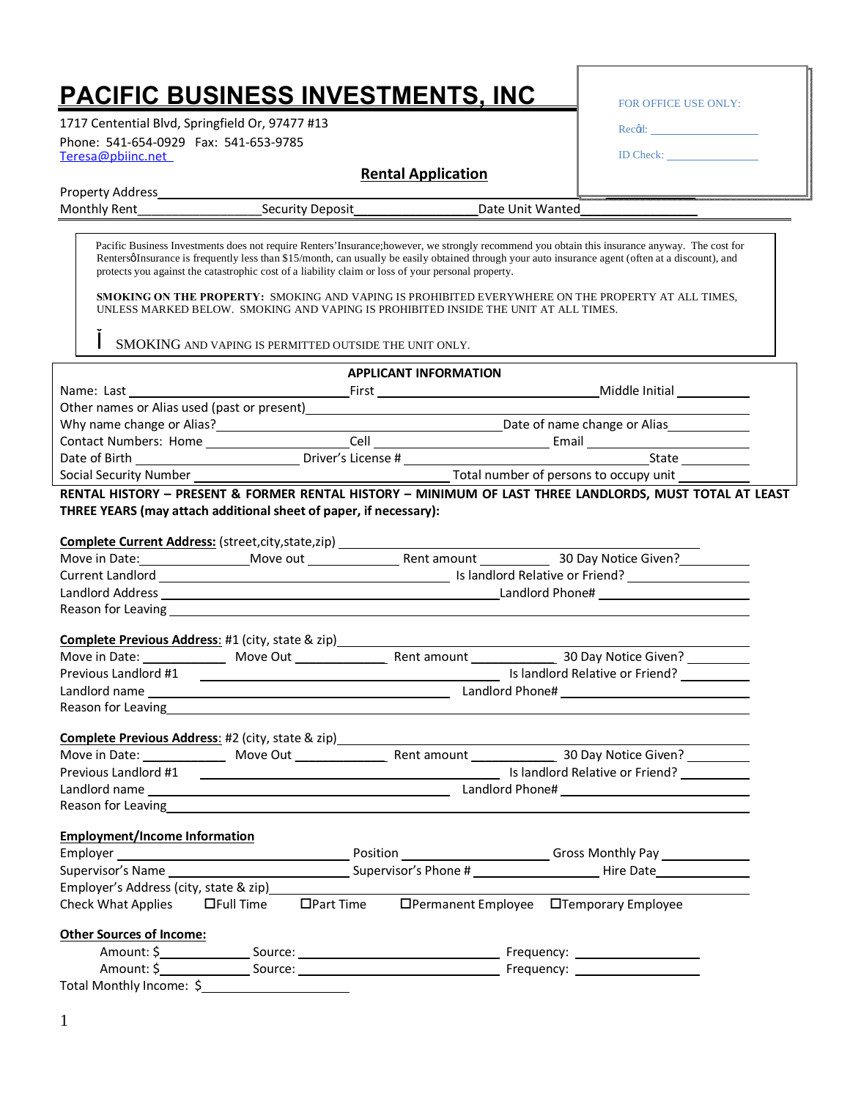## **PACIFIC BUSINESS INVESTMENTS, INC**

1717 Centential Blvd, Springfield Or, 97477 #13 [Teresa@pbiinc.net](mailto:teresa@obpinc.com) Phone: 541-654-0929 Fax: 541-653-9785

Property Address

| <b>FOR OFFICE USE ONLY:</b> |  |
|-----------------------------|--|
| Recod:                      |  |
| <b>ID</b> Check:            |  |
|                             |  |

| . . <del>.</del><br>----------- |                                    |                        |
|---------------------------------|------------------------------------|------------------------|
| Mont.<br>ken.                   | $\alpha$ curit<br>ennsr<br>$\cdot$ | Jatr<br>Wanter<br>Unii |
|                                 |                                    |                        |

**Rental Application**

Rentersø Insurance is frequently less than \$15/month, can usually be easily obtained through your auto insurance agent (often at a discount), and protects you against the catastrophic cost of a liability claim or loss of your personal property. Pacific Business Investments does not require Renters'Insurance;however, we strongly recommend you obtain this insurance anyway. The cost for

**SMOKING ON THE PROPERTY:** SMOKING AND VAPING IS PROHIBITED EVERYWHERE ON THE PROPERTY AT ALL TIMES, UNLESS MARKED BELOW. SMOKING AND VAPING IS PROHIBITED INSIDE THE UNIT AT ALL TIMES.

SMOKING AND VAPING IS PERMITTED OUTSIDE THE UNIT ONLY.

|                                      |                                                                                                                                                                                                                                | <b>APPLICANT INFORMATION</b>                                                     |                                                                                                         |
|--------------------------------------|--------------------------------------------------------------------------------------------------------------------------------------------------------------------------------------------------------------------------------|----------------------------------------------------------------------------------|---------------------------------------------------------------------------------------------------------|
| Name: Last                           |                                                                                                                                                                                                                                |                                                                                  |                                                                                                         |
|                                      | Other names or Alias used (past or present)<br><u>Detect</u>                                                                                                                                                                   |                                                                                  |                                                                                                         |
|                                      |                                                                                                                                                                                                                                |                                                                                  |                                                                                                         |
|                                      |                                                                                                                                                                                                                                |                                                                                  |                                                                                                         |
|                                      |                                                                                                                                                                                                                                |                                                                                  |                                                                                                         |
|                                      |                                                                                                                                                                                                                                |                                                                                  |                                                                                                         |
|                                      | THREE YEARS (may attach additional sheet of paper, if necessary):                                                                                                                                                              |                                                                                  | RENTAL HISTORY - PRESENT & FORMER RENTAL HISTORY - MINIMUM OF LAST THREE LANDLORDS, MUST TOTAL AT LEAST |
|                                      |                                                                                                                                                                                                                                | Complete Current Address: (street, city, state, zip) ___________________________ |                                                                                                         |
|                                      |                                                                                                                                                                                                                                |                                                                                  |                                                                                                         |
|                                      |                                                                                                                                                                                                                                |                                                                                  |                                                                                                         |
|                                      |                                                                                                                                                                                                                                |                                                                                  |                                                                                                         |
|                                      |                                                                                                                                                                                                                                |                                                                                  |                                                                                                         |
|                                      |                                                                                                                                                                                                                                | Complete Previous Address: #1 (city, state & zip) ______________________________ |                                                                                                         |
|                                      |                                                                                                                                                                                                                                |                                                                                  |                                                                                                         |
|                                      |                                                                                                                                                                                                                                |                                                                                  |                                                                                                         |
|                                      |                                                                                                                                                                                                                                |                                                                                  |                                                                                                         |
|                                      | Reason for Leaving the contract of the contract of the contract of the contract of the contract of the contract of the contract of the contract of the contract of the contract of the contract of the contract of the contrac |                                                                                  |                                                                                                         |
|                                      |                                                                                                                                                                                                                                | Complete Previous Address: #2 (city, state & zip) ______________________________ |                                                                                                         |
|                                      |                                                                                                                                                                                                                                |                                                                                  |                                                                                                         |
| Previous Landlord #1                 |                                                                                                                                                                                                                                |                                                                                  |                                                                                                         |
|                                      |                                                                                                                                                                                                                                |                                                                                  |                                                                                                         |
|                                      | Reason for Leaving and the state of the state of the state of the state of the state of the state of the state of the state of the state of the state of the state of the state of the state of the state of the state of the  |                                                                                  |                                                                                                         |
| <b>Employment/Income Information</b> |                                                                                                                                                                                                                                |                                                                                  |                                                                                                         |
|                                      |                                                                                                                                                                                                                                |                                                                                  |                                                                                                         |
|                                      |                                                                                                                                                                                                                                |                                                                                  |                                                                                                         |
|                                      | Employer's Address (city, state & zip) Manuscriptus Andrews                                                                                                                                                                    |                                                                                  |                                                                                                         |
|                                      |                                                                                                                                                                                                                                |                                                                                  | Check What Applies Langell Time DPart Time DPermanent Employee DTemporary Employee                      |
| <b>Other Sources of Income:</b>      |                                                                                                                                                                                                                                |                                                                                  |                                                                                                         |
|                                      |                                                                                                                                                                                                                                |                                                                                  |                                                                                                         |
|                                      |                                                                                                                                                                                                                                |                                                                                  |                                                                                                         |
| Total Monthly Income: \$             |                                                                                                                                                                                                                                |                                                                                  |                                                                                                         |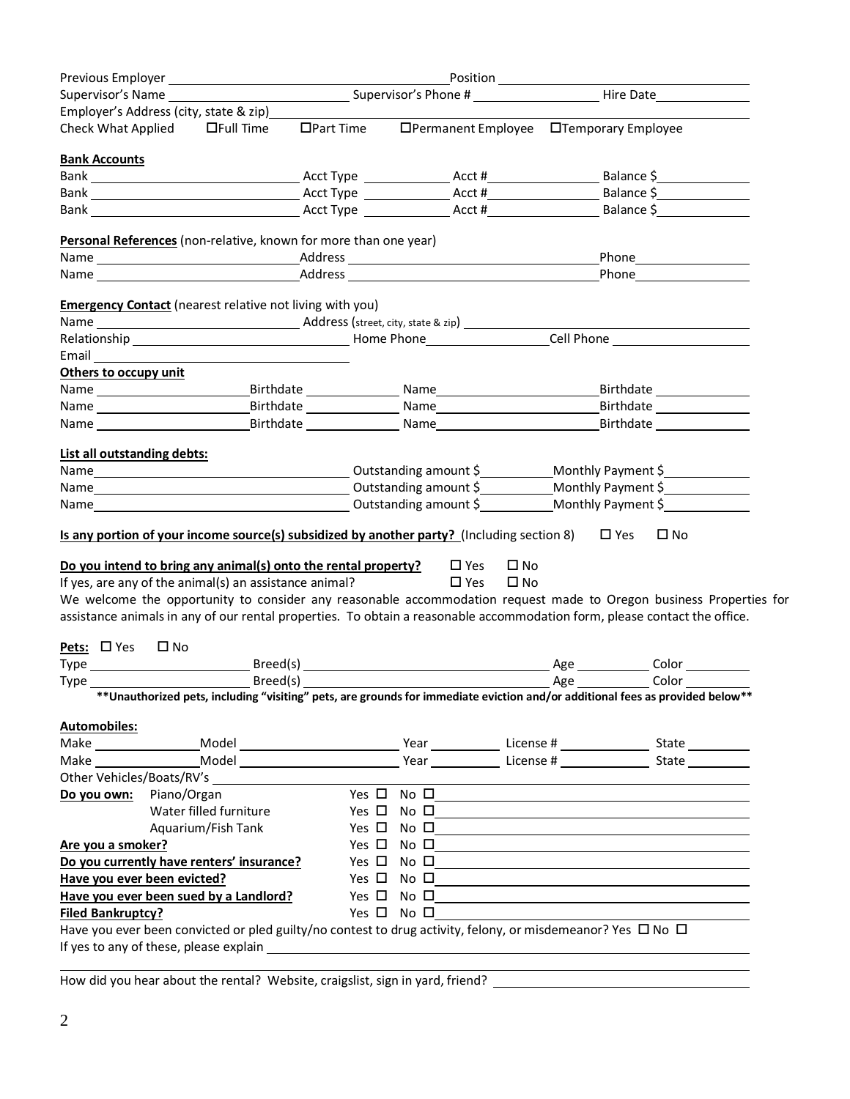| Employer's Address (city, state & zip)                                                                                                                                                                                                                                                                                                                                                                                                                                                                                                                                                                                                                                                                                                                                                                                                                                                                  |                                                                |     |              |  |
|---------------------------------------------------------------------------------------------------------------------------------------------------------------------------------------------------------------------------------------------------------------------------------------------------------------------------------------------------------------------------------------------------------------------------------------------------------------------------------------------------------------------------------------------------------------------------------------------------------------------------------------------------------------------------------------------------------------------------------------------------------------------------------------------------------------------------------------------------------------------------------------------------------|----------------------------------------------------------------|-----|--------------|--|
| Check What Applied $\Box$ Full Time                                                                                                                                                                                                                                                                                                                                                                                                                                                                                                                                                                                                                                                                                                                                                                                                                                                                     | □Part Time □ □Permanent Employee □Temporary Employee           |     |              |  |
| <b>Bank Accounts</b>                                                                                                                                                                                                                                                                                                                                                                                                                                                                                                                                                                                                                                                                                                                                                                                                                                                                                    |                                                                |     |              |  |
|                                                                                                                                                                                                                                                                                                                                                                                                                                                                                                                                                                                                                                                                                                                                                                                                                                                                                                         |                                                                |     |              |  |
|                                                                                                                                                                                                                                                                                                                                                                                                                                                                                                                                                                                                                                                                                                                                                                                                                                                                                                         |                                                                |     |              |  |
|                                                                                                                                                                                                                                                                                                                                                                                                                                                                                                                                                                                                                                                                                                                                                                                                                                                                                                         |                                                                |     |              |  |
| Personal References (non-relative, known for more than one year)                                                                                                                                                                                                                                                                                                                                                                                                                                                                                                                                                                                                                                                                                                                                                                                                                                        |                                                                |     |              |  |
|                                                                                                                                                                                                                                                                                                                                                                                                                                                                                                                                                                                                                                                                                                                                                                                                                                                                                                         |                                                                |     |              |  |
|                                                                                                                                                                                                                                                                                                                                                                                                                                                                                                                                                                                                                                                                                                                                                                                                                                                                                                         |                                                                |     |              |  |
| <b>Emergency Contact</b> (nearest relative not living with you)                                                                                                                                                                                                                                                                                                                                                                                                                                                                                                                                                                                                                                                                                                                                                                                                                                         |                                                                |     |              |  |
|                                                                                                                                                                                                                                                                                                                                                                                                                                                                                                                                                                                                                                                                                                                                                                                                                                                                                                         |                                                                |     |              |  |
|                                                                                                                                                                                                                                                                                                                                                                                                                                                                                                                                                                                                                                                                                                                                                                                                                                                                                                         |                                                                |     |              |  |
|                                                                                                                                                                                                                                                                                                                                                                                                                                                                                                                                                                                                                                                                                                                                                                                                                                                                                                         |                                                                |     |              |  |
| Email <b>Exercise Contract Contract Contract Contract Contract Contract Contract Contract Contract Contract Contract Contract Contract Contract Contract Contract Contract Contract Contract Contract Contract Contract Contract</b><br>Others to occupy unit                                                                                                                                                                                                                                                                                                                                                                                                                                                                                                                                                                                                                                           |                                                                |     |              |  |
| Name _____________________________Birthdate ___________________Name ______________________________Birthdate ________                                                                                                                                                                                                                                                                                                                                                                                                                                                                                                                                                                                                                                                                                                                                                                                    |                                                                |     |              |  |
|                                                                                                                                                                                                                                                                                                                                                                                                                                                                                                                                                                                                                                                                                                                                                                                                                                                                                                         |                                                                |     |              |  |
| Name and the state of the state of the state of the state of the state of the state of the state of the state                                                                                                                                                                                                                                                                                                                                                                                                                                                                                                                                                                                                                                                                                                                                                                                           |                                                                |     |              |  |
|                                                                                                                                                                                                                                                                                                                                                                                                                                                                                                                                                                                                                                                                                                                                                                                                                                                                                                         |                                                                |     |              |  |
| List all outstanding debts:                                                                                                                                                                                                                                                                                                                                                                                                                                                                                                                                                                                                                                                                                                                                                                                                                                                                             |                                                                |     |              |  |
|                                                                                                                                                                                                                                                                                                                                                                                                                                                                                                                                                                                                                                                                                                                                                                                                                                                                                                         |                                                                |     |              |  |
|                                                                                                                                                                                                                                                                                                                                                                                                                                                                                                                                                                                                                                                                                                                                                                                                                                                                                                         |                                                                |     |              |  |
|                                                                                                                                                                                                                                                                                                                                                                                                                                                                                                                                                                                                                                                                                                                                                                                                                                                                                                         |                                                                |     |              |  |
|                                                                                                                                                                                                                                                                                                                                                                                                                                                                                                                                                                                                                                                                                                                                                                                                                                                                                                         |                                                                |     | $\square$ No |  |
|                                                                                                                                                                                                                                                                                                                                                                                                                                                                                                                                                                                                                                                                                                                                                                                                                                                                                                         | $\square$ Yes<br>$\square$ No<br>$\square$ Yes<br>$\square$ No |     |              |  |
|                                                                                                                                                                                                                                                                                                                                                                                                                                                                                                                                                                                                                                                                                                                                                                                                                                                                                                         |                                                                |     |              |  |
|                                                                                                                                                                                                                                                                                                                                                                                                                                                                                                                                                                                                                                                                                                                                                                                                                                                                                                         |                                                                | Age | Color        |  |
|                                                                                                                                                                                                                                                                                                                                                                                                                                                                                                                                                                                                                                                                                                                                                                                                                                                                                                         | Breed(s) Breed(s) Age Color                                    |     |              |  |
| ** Unauthorized pets, including "visiting" pets, are grounds for immediate eviction and/or additional fees as provided below**                                                                                                                                                                                                                                                                                                                                                                                                                                                                                                                                                                                                                                                                                                                                                                          |                                                                |     |              |  |
|                                                                                                                                                                                                                                                                                                                                                                                                                                                                                                                                                                                                                                                                                                                                                                                                                                                                                                         |                                                                |     |              |  |
|                                                                                                                                                                                                                                                                                                                                                                                                                                                                                                                                                                                                                                                                                                                                                                                                                                                                                                         |                                                                |     |              |  |
|                                                                                                                                                                                                                                                                                                                                                                                                                                                                                                                                                                                                                                                                                                                                                                                                                                                                                                         |                                                                |     |              |  |
|                                                                                                                                                                                                                                                                                                                                                                                                                                                                                                                                                                                                                                                                                                                                                                                                                                                                                                         |                                                                |     |              |  |
|                                                                                                                                                                                                                                                                                                                                                                                                                                                                                                                                                                                                                                                                                                                                                                                                                                                                                                         |                                                                |     |              |  |
|                                                                                                                                                                                                                                                                                                                                                                                                                                                                                                                                                                                                                                                                                                                                                                                                                                                                                                         | Yes □ No □                                                     |     |              |  |
| Water filled furniture                                                                                                                                                                                                                                                                                                                                                                                                                                                                                                                                                                                                                                                                                                                                                                                                                                                                                  | Yes $\square$ No $\square$                                     |     |              |  |
| Aquarium/Fish Tank                                                                                                                                                                                                                                                                                                                                                                                                                                                                                                                                                                                                                                                                                                                                                                                                                                                                                      | Yes $\square$ No $\square$                                     |     |              |  |
|                                                                                                                                                                                                                                                                                                                                                                                                                                                                                                                                                                                                                                                                                                                                                                                                                                                                                                         | Yes $\square$ No $\square$                                     |     |              |  |
|                                                                                                                                                                                                                                                                                                                                                                                                                                                                                                                                                                                                                                                                                                                                                                                                                                                                                                         | Yes $\square$ No $\square$                                     |     |              |  |
|                                                                                                                                                                                                                                                                                                                                                                                                                                                                                                                                                                                                                                                                                                                                                                                                                                                                                                         | $Yes \Box No \Box$                                             |     |              |  |
|                                                                                                                                                                                                                                                                                                                                                                                                                                                                                                                                                                                                                                                                                                                                                                                                                                                                                                         | $Yes \Box No \Box$                                             |     |              |  |
| Is any portion of your income source(s) subsidized by another party? (Including section 8) $\Box$ Yes<br>Do you intend to bring any animal(s) onto the rental property?<br>If yes, are any of the animal(s) an assistance animal?<br>We welcome the opportunity to consider any reasonable accommodation request made to Oregon business Properties for<br>assistance animals in any of our rental properties. To obtain a reasonable accommodation form, please contact the office.<br><b>Pets:</b> $\Box$ Yes $\Box$ No<br>Type <b>Example 2018</b><br><b>Automobiles:</b><br>Do you own: Piano/Organ<br>Are you a smoker?<br>Do you currently have renters' insurance?<br>Have you ever been evicted?<br>Have you ever been sued by a Landlord?<br><b>Filed Bankruptcy?</b><br>Have you ever been convicted or pled guilty/no contest to drug activity, felony, or misdemeanor? Yes $\Box$ No $\Box$ | Yes $\square$ No $\square$                                     |     |              |  |

How did you hear about the rental? Website, craigslist, sign in yard, friend?